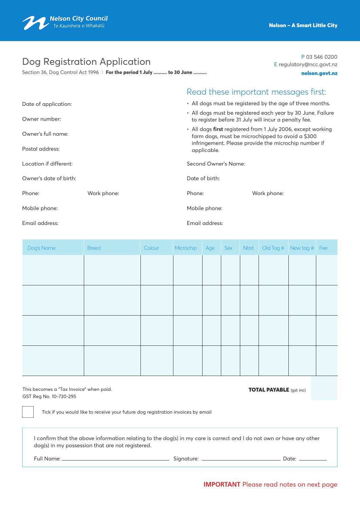

# Dog Registration Application

Section 36, Dog Control Act 1996 | For the period 1 July .......... to 30 June .........

E regulatory@ncc.govt.nz nelson.govt.nz

P 03 546 0200

|                        |             |                                                                                                                                                                                                                                         | Read these important messages first: |  |  |  |  |
|------------------------|-------------|-----------------------------------------------------------------------------------------------------------------------------------------------------------------------------------------------------------------------------------------|--------------------------------------|--|--|--|--|
| Date of application:   |             | • All dogs must be registered by the age of three months.                                                                                                                                                                               |                                      |  |  |  |  |
| Owner number:          |             | • All dogs must be registered each year by 30 June. Failure<br>to register before 31 July will incur a penalty fee.<br>• All dogs first registered from 1 July 2006, except working<br>farm dogs, must be microchipped to avoid a \$300 |                                      |  |  |  |  |
| Owner's full name:     |             |                                                                                                                                                                                                                                         |                                      |  |  |  |  |
| Postal address:        |             | infringement. Please provide the microchip number if<br>applicable.                                                                                                                                                                     |                                      |  |  |  |  |
| Location if different: |             | Second Owner's Name:                                                                                                                                                                                                                    |                                      |  |  |  |  |
| Owner's date of birth: |             | Date of birth:                                                                                                                                                                                                                          |                                      |  |  |  |  |
| Phone:                 | Work phone: | Phone:                                                                                                                                                                                                                                  | Work phone:                          |  |  |  |  |
| Mobile phone:          |             | Mobile phone:                                                                                                                                                                                                                           |                                      |  |  |  |  |
| Email address:         |             | Email address:                                                                                                                                                                                                                          |                                      |  |  |  |  |

| Dog's Name | <b>Breed</b> | Colour | Microchip | Age | Sex | Ntrd | Old Tag $#$ New tag $#$ Fee |  |
|------------|--------------|--------|-----------|-----|-----|------|-----------------------------|--|
|            |              |        |           |     |     |      |                             |  |
|            |              |        |           |     |     |      |                             |  |
|            |              |        |           |     |     |      |                             |  |
|            |              |        |           |     |     |      |                             |  |
|            |              |        |           |     |     |      |                             |  |
|            |              |        |           |     |     |      |                             |  |
|            |              |        |           |     |     |      |                             |  |
|            |              |        |           |     |     |      |                             |  |

This becomes a "Tax Invoice" when paid. This becomes a "Tax Invoice" when paid. GST Reg No. 10-730-295

Tick if you would like to receive your future dog registration invoices by email

I confirm that the above information relating to the dog(s) in my care is correct and I do not own or have any other dog(s) in my possession that are not registered.

Full Name: Signature: Date: